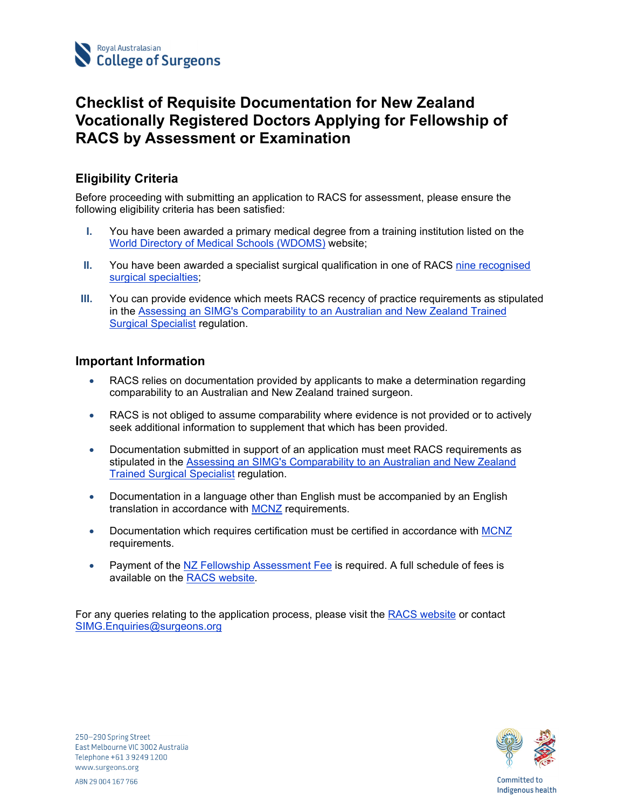

# **Checklist of Requisite Documentation for New Zealand Vocationally Registered Doctors Applying for Fellowship of RACS by Assessment or Examination**

## **Eligibility Criteria**

Before proceeding with submitting an application to RACS for assessment, please ensure the following eligibility criteria has been satisfied:

- **I.** You have been awarded a primary medical degree from a training institution listed on the World Directory of Medical Schools (WDOMS) website;
- **II.** You have been awarded a specialist surgical qualification in one of RACS nine recognised surgical specialties;
- **III.** You can provide evidence which meets RACS recency of practice requirements as stipulated in the Assessing an SIMG's Comparability to an Australian and New Zealand Trained Surgical Specialist regulation.

### **Important Information**

- RACS relies on documentation provided by applicants to make a determination regarding comparability to an Australian and New Zealand trained surgeon.
- RACS is not obliged to assume comparability where evidence is not provided or to actively seek additional information to supplement that which has been provided.
- Documentation submitted in support of an application must meet RACS requirements as stipulated in the Assessing an SIMG's Comparability to an Australian and New Zealand Trained Surgical Specialist regulation.
- Documentation in a language other than English must be accompanied by an English translation in accordance with MCNZ requirements.
- Documentation which requires certification must be certified in accordance with MCNZ requirements.
- Payment of the NZ Fellowship Assessment Fee is required. A full schedule of fees is available on the RACS website.

For any queries relating to the application process, please visit the RACS website or contact SIMG.Enquiries@surgeons.org



250-290 Spring Street East Melbourne VIC 3002 Australia Telephone +61 3 9249 1200 www.surgeons.org ABN 29 004 167 766

Committed to Indigenous health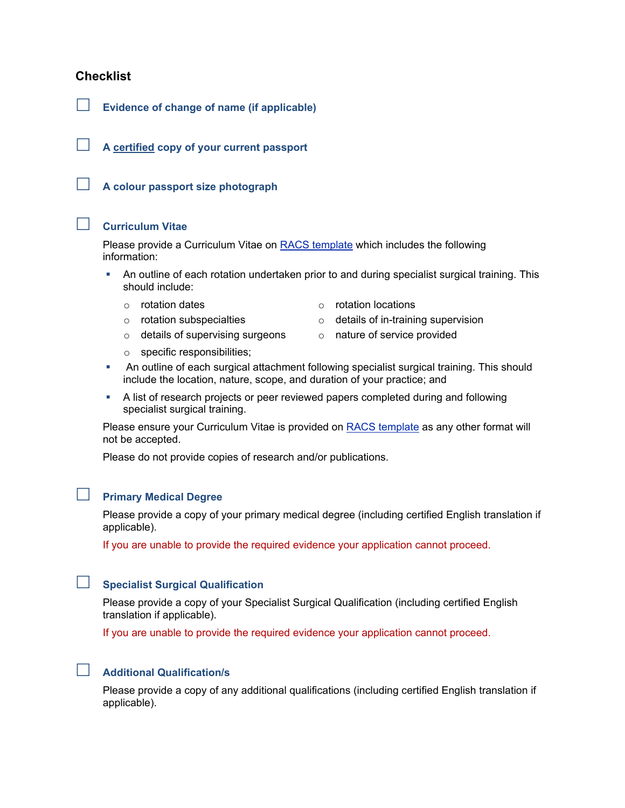### **Checklist**

**Evidence of change of name (if applicable)** 

**A certified copy of your current passport** 

**A colour passport size photograph** 

#### **Curriculum Vitae**

Please provide a Curriculum Vitae on RACS template which includes the following information:

- An outline of each rotation undertaken prior to and during specialist surgical training. This should include:
	- o rotation dates o rotation locations
	-
	- $\circ$  details of supervising surgeons  $\circ$  nature of service provided
- - $\circ$  rotation subspecialties  $\circ$  details of in-training supervision
		-
	- o specific responsibilities;
- An outline of each surgical attachment following specialist surgical training. This should include the location, nature, scope, and duration of your practice; and
- A list of research projects or peer reviewed papers completed during and following specialist surgical training.

Please ensure your Curriculum Vitae is provided on RACS template as any other format will not be accepted.

Please do not provide copies of research and/or publications.

# **Primary Medical Degree**

Please provide a copy of your primary medical degree (including certified English translation if applicable).

If you are unable to provide the required evidence your application cannot proceed.

## **Specialist Surgical Qualification**

Please provide a copy of your Specialist Surgical Qualification (including certified English translation if applicable).

If you are unable to provide the required evidence your application cannot proceed.



Please provide a copy of any additional qualifications (including certified English translation if applicable).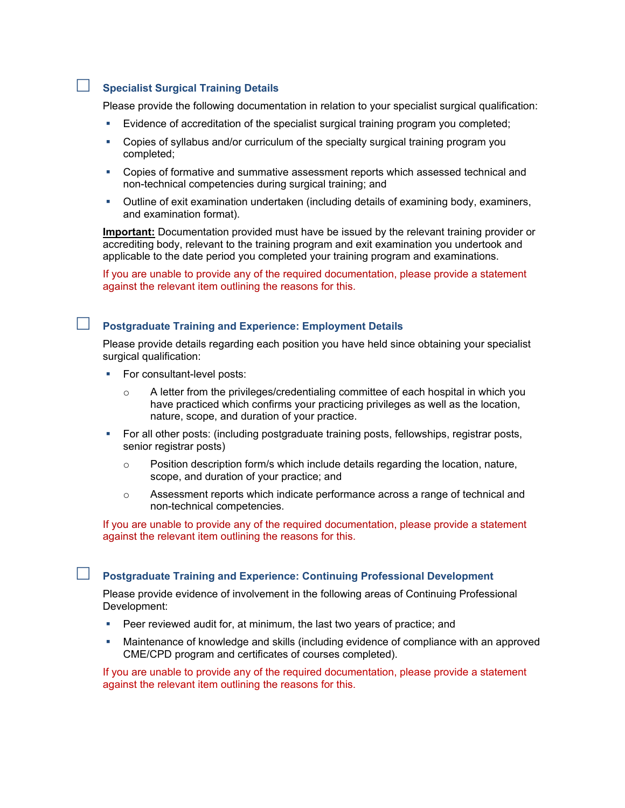# **Specialist Surgical Training Details**

Please provide the following documentation in relation to your specialist surgical qualification:

- Evidence of accreditation of the specialist surgical training program you completed;
- Copies of syllabus and/or curriculum of the specialty surgical training program you completed;
- Copies of formative and summative assessment reports which assessed technical and non-technical competencies during surgical training; and
- Outline of exit examination undertaken (including details of examining body, examiners, and examination format).

**Important:** Documentation provided must have be issued by the relevant training provider or accrediting body, relevant to the training program and exit examination you undertook and applicable to the date period you completed your training program and examinations.

If you are unable to provide any of the required documentation, please provide a statement against the relevant item outlining the reasons for this.

## **Postgraduate Training and Experience: Employment Details**

Please provide details regarding each position you have held since obtaining your specialist surgical qualification:

- **For consultant-level posts:** 
	- o A letter from the privileges/credentialing committee of each hospital in which you have practiced which confirms your practicing privileges as well as the location, nature, scope, and duration of your practice.
- For all other posts: (including postgraduate training posts, fellowships, registrar posts, senior registrar posts)
	- $\circ$  Position description form/s which include details regarding the location, nature, scope, and duration of your practice; and
	- o Assessment reports which indicate performance across a range of technical and non-technical competencies.

If you are unable to provide any of the required documentation, please provide a statement against the relevant item outlining the reasons for this.

**Postgraduate Training and Experience: Continuing Professional Development** 

Please provide evidence of involvement in the following areas of Continuing Professional Development:

- **Peer reviewed audit for, at minimum, the last two years of practice; and**
- Maintenance of knowledge and skills (including evidence of compliance with an approved CME/CPD program and certificates of courses completed).

If you are unable to provide any of the required documentation, please provide a statement against the relevant item outlining the reasons for this.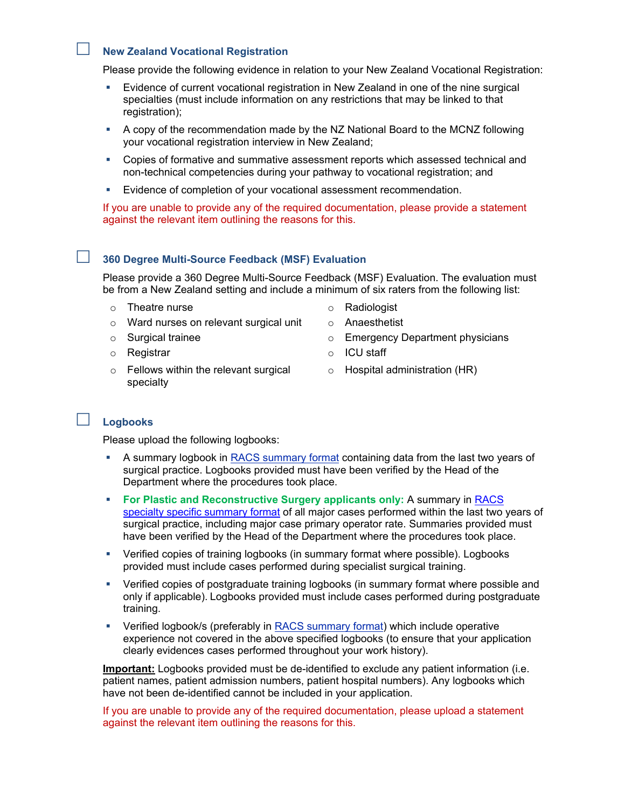#### **New Zealand Vocational Registration**

Please provide the following evidence in relation to your New Zealand Vocational Registration:

- Evidence of current vocational registration in New Zealand in one of the nine surgical specialties (must include information on any restrictions that may be linked to that registration);
- A copy of the recommendation made by the NZ National Board to the MCNZ following your vocational registration interview in New Zealand;
- Copies of formative and summative assessment reports which assessed technical and non-technical competencies during your pathway to vocational registration; and
- **Evidence of completion of your vocational assessment recommendation.**

If you are unable to provide any of the required documentation, please provide a statement against the relevant item outlining the reasons for this.

### **360 Degree Multi-Source Feedback (MSF) Evaluation**

Please provide a 360 Degree Multi-Source Feedback (MSF) Evaluation. The evaluation must be from a New Zealand setting and include a minimum of six raters from the following list:

- o Theatre nurse and the contract of Radiologist
- o Ward nurses on relevant surgical unit
- o Surgical trainee
- 
- o Fellows within the relevant surgical specialty
- 
- o Anaesthetist
- o Emergency Department physicians
- o Registrar o ICU staff
	- o Hospital administration (HR)

### **Logbooks**

Please upload the following logbooks:

- A summary logbook in RACS summary format containing data from the last two years of surgical practice. Logbooks provided must have been verified by the Head of the Department where the procedures took place.
- **For Plastic and Reconstructive Surgery applicants only: A summary in RACS** specialty specific summary format of all major cases performed within the last two years of surgical practice, including major case primary operator rate. Summaries provided must have been verified by the Head of the Department where the procedures took place.
- Verified copies of training logbooks (in summary format where possible). Logbooks provided must include cases performed during specialist surgical training.
- Verified copies of postgraduate training logbooks (in summary format where possible and only if applicable). Logbooks provided must include cases performed during postgraduate training.
- Verified logbook/s (preferably in RACS summary format) which include operative experience not covered in the above specified logbooks (to ensure that your application clearly evidences cases performed throughout your work history).

**Important:** Logbooks provided must be de-identified to exclude any patient information (i.e. patient names, patient admission numbers, patient hospital numbers). Any logbooks which have not been de-identified cannot be included in your application.

If you are unable to provide any of the required documentation, please upload a statement against the relevant item outlining the reasons for this.